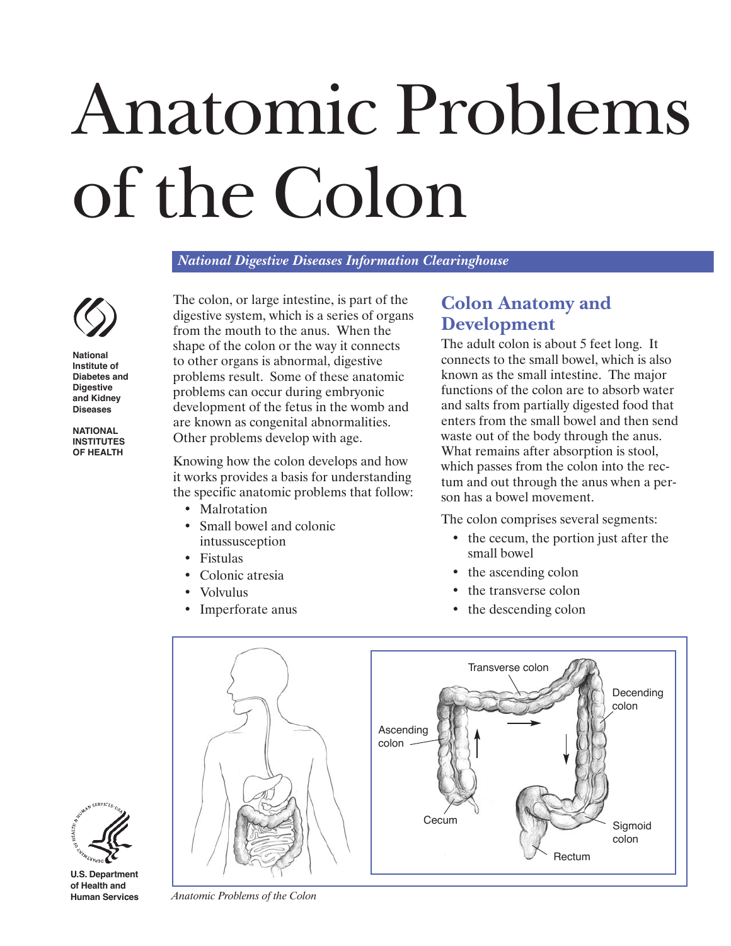# Anatomic Problems of the Colon

*National Digestive Diseases Information Clearinghouse* 



**National Institute of Diabetes and Digestive and Kidney Diseases** 

**NATIONAL INSTITUTES OF HEALTH** 

The colon, or large intestine, is part of the digestive system, which is a series of organs from the mouth to the anus. When the shape of the colon or the way it connects to other organs is abnormal, digestive problems result. Some of these anatomic problems can occur during embryonic development of the fetus in the womb and are known as congenital abnormalities. Other problems develop with age.

Knowing how the colon develops and how it works provides a basis for understanding the specific anatomic problems that follow:

- Malrotation
- Small bowel and colonic intussusception
- • Fistulas
- • Colonic atresia
- Volvulus
- Imperforate anus

# **Colon Anatomy and Development**

The adult colon is about 5 feet long. It connects to the small bowel, which is also known as the small intestine. The major functions of the colon are to absorb water and salts from partially digested food that enters from the small bowel and then send waste out of the body through the anus. What remains after absorption is stool, which passes from the colon into the rectum and out through the anus when a person has a bowel movement.

The colon comprises several segments:

- the cecum, the portion just after the small bowel
- the ascending colon
- the transverse colon
- the descending colon





**U.S. Department of Health and** 

**Human Services** *Anatomic Problems of the Colon*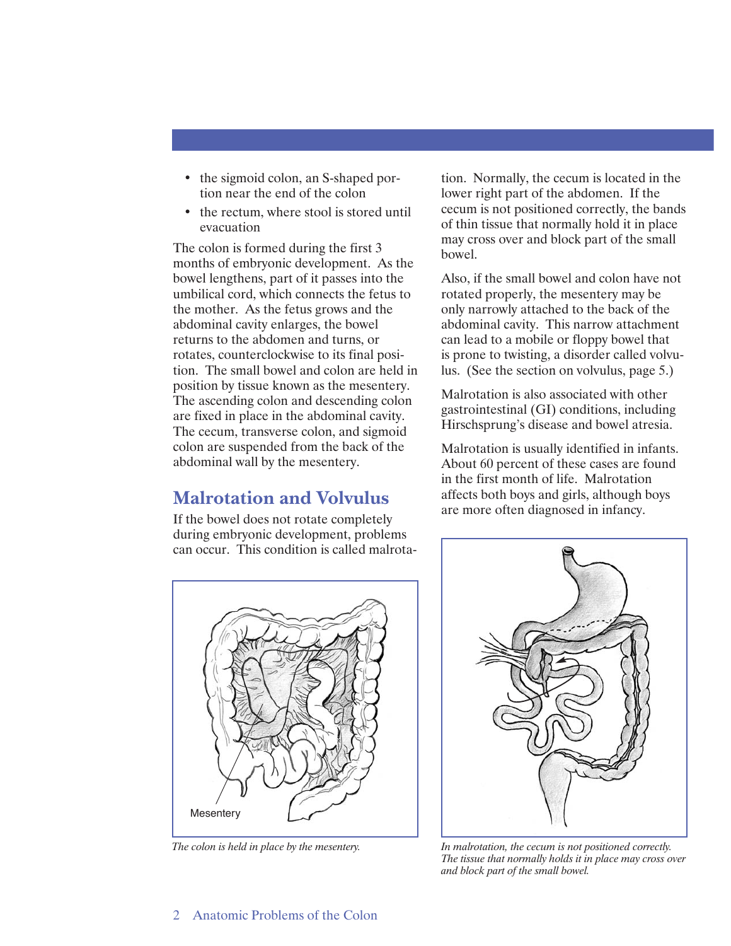- the sigmoid colon, an S-shaped portion near the end of the colon
- the rectum, where stool is stored until evacuation

The colon is formed during the first 3 months of embryonic development. As the bowel lengthens, part of it passes into the umbilical cord, which connects the fetus to the mother. As the fetus grows and the abdominal cavity enlarges, the bowel returns to the abdomen and turns, or rotates, counterclockwise to its final position. The small bowel and colon are held in position by tissue known as the mesentery. The ascending colon and descending colon are fixed in place in the abdominal cavity. The cecum, transverse colon, and sigmoid colon are suspended from the back of the abdominal wall by the mesentery.

# **Malrotation and Volvulus**

If the bowel does not rotate completely during embryonic development, problems can occur. This condition is called malrota-

**Mesentery** 

tion. Normally, the cecum is located in the lower right part of the abdomen. If the cecum is not positioned correctly, the bands of thin tissue that normally hold it in place may cross over and block part of the small bowel.

Also, if the small bowel and colon have not rotated properly, the mesentery may be only narrowly attached to the back of the abdominal cavity. This narrow attachment can lead to a mobile or floppy bowel that is prone to twisting, a disorder called volvulus. (See the section on volvulus, page 5.)

Malrotation is also associated with other gastrointestinal (GI) conditions, including Hirschsprung's disease and bowel atresia.

Malrotation is usually identified in infants. About 60 percent of these cases are found in the first month of life. Malrotation affects both boys and girls, although boys are more often diagnosed in infancy.



*The colon is held in place by the mesentery. In malrotation, the cecum is not positioned correctly. The tissue that normally holds it in place may cross over and block part of the small bowel.*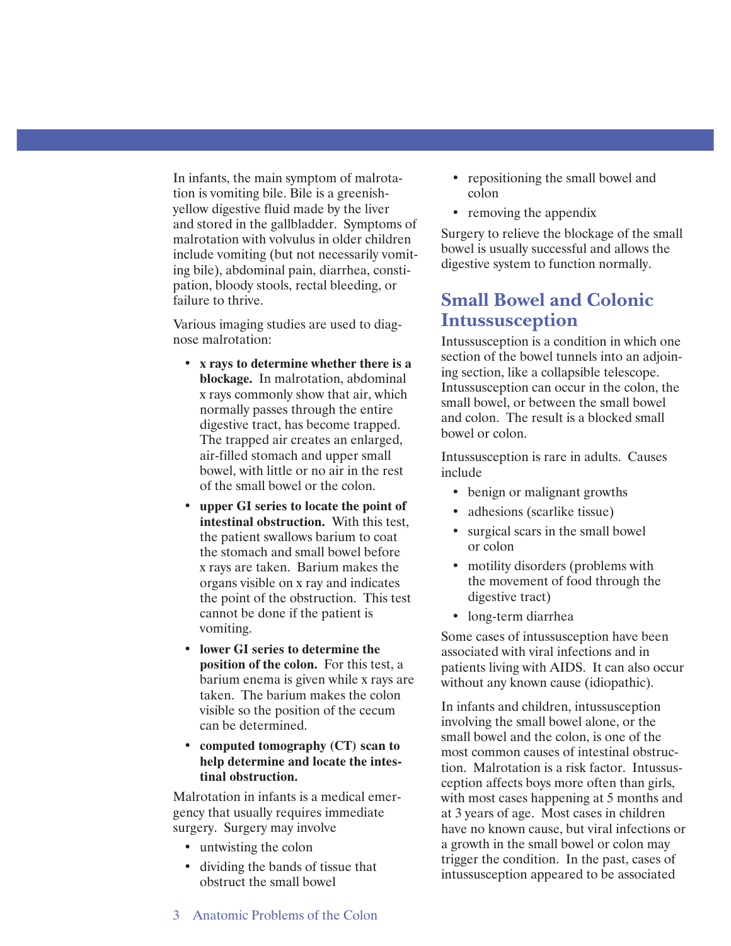In infants, the main symptom of malrotation is vomiting bile. Bile is a greenishyellow digestive fluid made by the liver and stored in the gallbladder. Symptoms of malrotation with volvulus in older children include vomiting (but not necessarily vomiting bile), abdominal pain, diarrhea, constipation, bloody stools, rectal bleeding, or failure to thrive.

Various imaging studies are used to diagnose malrotation:

- • **x rays to determine whether there is a blockage.** In malrotation, abdominal x rays commonly show that air, which normally passes through the entire digestive tract, has become trapped. The trapped air creates an enlarged, air-filled stomach and upper small bowel, with little or no air in the rest of the small bowel or the colon.
- • **upper GI series to locate the point of intestinal obstruction.** With this test, the patient swallows barium to coat the stomach and small bowel before x rays are taken. Barium makes the organs visible on x ray and indicates the point of the obstruction. This test cannot be done if the patient is vomiting.
- • **lower GI series to determine the position of the colon.** For this test, a barium enema is given while x rays are taken. The barium makes the colon visible so the position of the cecum can be determined.
- • **computed tomography (CT) scan to help determine and locate the intestinal obstruction.**

Malrotation in infants is a medical emergency that usually requires immediate surgery. Surgery may involve

- untwisting the colon
- dividing the bands of tissue that obstruct the small bowel
- repositioning the small bowel and colon
- removing the appendix

Surgery to relieve the blockage of the small bowel is usually successful and allows the digestive system to function normally.

## **Small Bowel and Colonic Intussusception**

Intussusception is a condition in which one section of the bowel tunnels into an adjoining section, like a collapsible telescope. Intussusception can occur in the colon, the small bowel, or between the small bowel and colon. The result is a blocked small bowel or colon.

Intussusception is rare in adults. Causes include

- benign or malignant growths
- adhesions (scarlike tissue)
- surgical scars in the small bowel or colon
- motility disorders (problems with the movement of food through the digestive tract)
- long-term diarrhea

Some cases of intussusception have been associated with viral infections and in patients living with AIDS. It can also occur without any known cause (idiopathic).

In infants and children, intussusception involving the small bowel alone, or the small bowel and the colon, is one of the most common causes of intestinal obstruction. Malrotation is a risk factor. Intussusception affects boys more often than girls, with most cases happening at 5 months and at 3 years of age. Most cases in children have no known cause, but viral infections or a growth in the small bowel or colon may trigger the condition. In the past, cases of intussusception appeared to be associated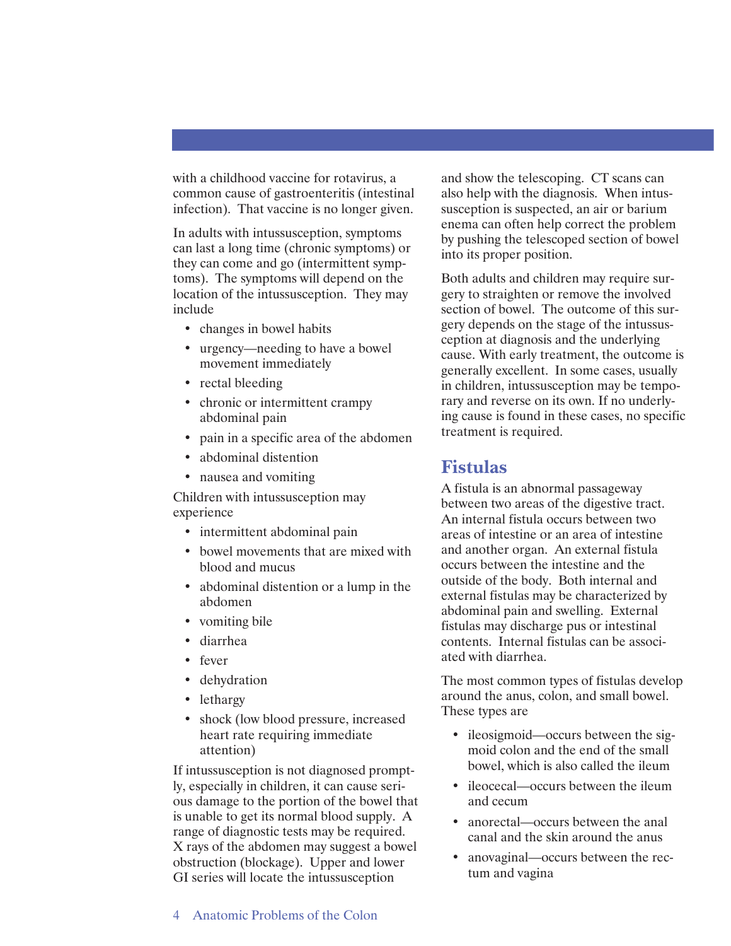with a childhood vaccine for rotavirus, a common cause of gastroenteritis (intestinal infection). That vaccine is no longer given.

In adults with intussusception, symptoms can last a long time (chronic symptoms) or they can come and go (intermittent symptoms). The symptoms will depend on the location of the intussusception. They may include

- changes in bowel habits
- urgency—needing to have a bowel movement immediately
- rectal bleeding
- chronic or intermittent crampy abdominal pain
- pain in a specific area of the abdomen
- abdominal distention
- nausea and vomiting

Children with intussusception may experience

- intermittent abdominal pain
- bowel movements that are mixed with blood and mucus
- abdominal distention or a lump in the abdomen
- vomiting bile
- • diarrhea
- • fever
- • dehydration
- lethargy
- shock (low blood pressure, increased heart rate requiring immediate attention)

If intussusception is not diagnosed promptly, especially in children, it can cause serious damage to the portion of the bowel that is unable to get its normal blood supply. A range of diagnostic tests may be required. X rays of the abdomen may suggest a bowel obstruction (blockage). Upper and lower GI series will locate the intussusception

and show the telescoping. CT scans can also help with the diagnosis. When intussusception is suspected, an air or barium enema can often help correct the problem by pushing the telescoped section of bowel into its proper position.

Both adults and children may require surgery to straighten or remove the involved section of bowel. The outcome of this surgery depends on the stage of the intussusception at diagnosis and the underlying cause. With early treatment, the outcome is generally excellent. In some cases, usually in children, intussusception may be temporary and reverse on its own. If no underlying cause is found in these cases, no specific treatment is required.

## **Fistulas**

A fistula is an abnormal passageway between two areas of the digestive tract. An internal fistula occurs between two areas of intestine or an area of intestine and another organ. An external fistula occurs between the intestine and the outside of the body. Both internal and external fistulas may be characterized by abdominal pain and swelling. External fistulas may discharge pus or intestinal contents. Internal fistulas can be associated with diarrhea.

The most common types of fistulas develop around the anus, colon, and small bowel. These types are

- ileosigmoid—occurs between the sigmoid colon and the end of the small bowel, which is also called the ileum
- ileocecal—occurs between the ileum and cecum
- anorectal—occurs between the anal canal and the skin around the anus
- anovaginal—occurs between the rectum and vagina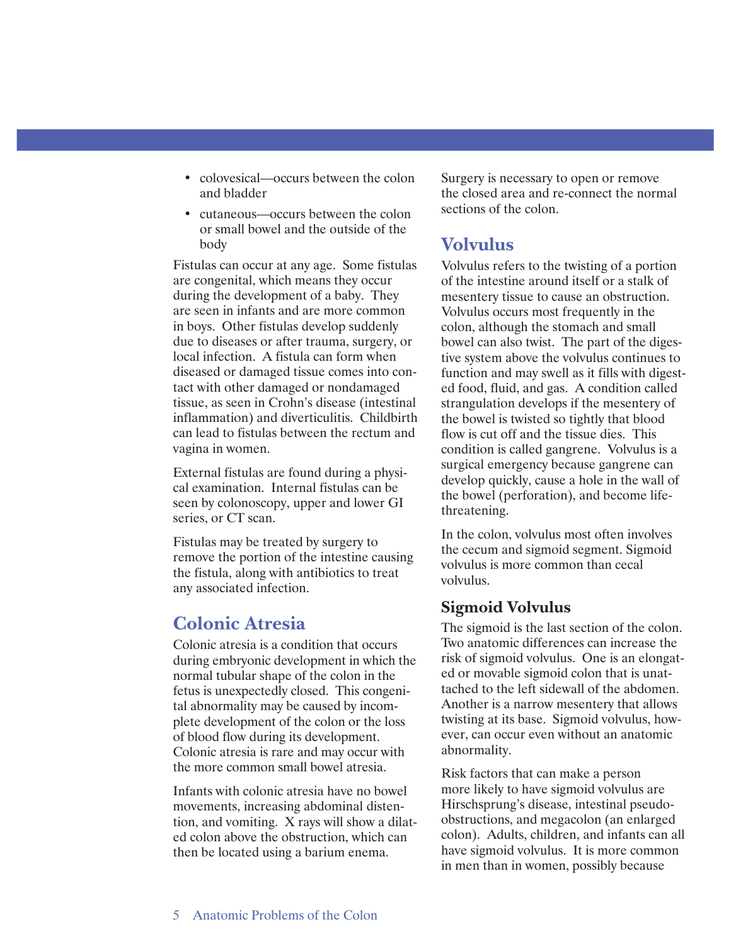- colovesical—occurs between the colon and bladder
- cutaneous—occurs between the colon or small bowel and the outside of the body

Fistulas can occur at any age. Some fistulas are congenital, which means they occur during the development of a baby. They are seen in infants and are more common in boys. Other fistulas develop suddenly due to diseases or after trauma, surgery, or local infection. A fistula can form when diseased or damaged tissue comes into contact with other damaged or nondamaged tissue, as seen in Crohn's disease (intestinal inflammation) and diverticulitis. Childbirth can lead to fistulas between the rectum and vagina in women.

External fistulas are found during a physical examination. Internal fistulas can be seen by colonoscopy, upper and lower GI series, or CT scan.

Fistulas may be treated by surgery to remove the portion of the intestine causing the fistula, along with antibiotics to treat any associated infection.

## **Colonic Atresia**

Colonic atresia is a condition that occurs during embryonic development in which the normal tubular shape of the colon in the fetus is unexpectedly closed. This congenital abnormality may be caused by incomplete development of the colon or the loss of blood flow during its development. Colonic atresia is rare and may occur with the more common small bowel atresia.

Infants with colonic atresia have no bowel movements, increasing abdominal distention, and vomiting. X rays will show a dilated colon above the obstruction, which can then be located using a barium enema.

Surgery is necessary to open or remove the closed area and re-connect the normal sections of the colon.

# **Volvulus**

Volvulus refers to the twisting of a portion of the intestine around itself or a stalk of mesentery tissue to cause an obstruction. Volvulus occurs most frequently in the colon, although the stomach and small bowel can also twist. The part of the digestive system above the volvulus continues to function and may swell as it fills with digested food, fluid, and gas. A condition called strangulation develops if the mesentery of the bowel is twisted so tightly that blood flow is cut off and the tissue dies. This condition is called gangrene. Volvulus is a surgical emergency because gangrene can develop quickly, cause a hole in the wall of the bowel (perforation), and become lifethreatening.

In the colon, volvulus most often involves the cecum and sigmoid segment. Sigmoid volvulus is more common than cecal volvulus.

### **Sigmoid Volvulus**

The sigmoid is the last section of the colon. Two anatomic differences can increase the risk of sigmoid volvulus. One is an elongated or movable sigmoid colon that is unattached to the left sidewall of the abdomen. Another is a narrow mesentery that allows twisting at its base. Sigmoid volvulus, however, can occur even without an anatomic abnormality.

Risk factors that can make a person more likely to have sigmoid volvulus are Hirschsprung's disease, intestinal pseudoobstructions, and megacolon (an enlarged colon). Adults, children, and infants can all have sigmoid volvulus. It is more common in men than in women, possibly because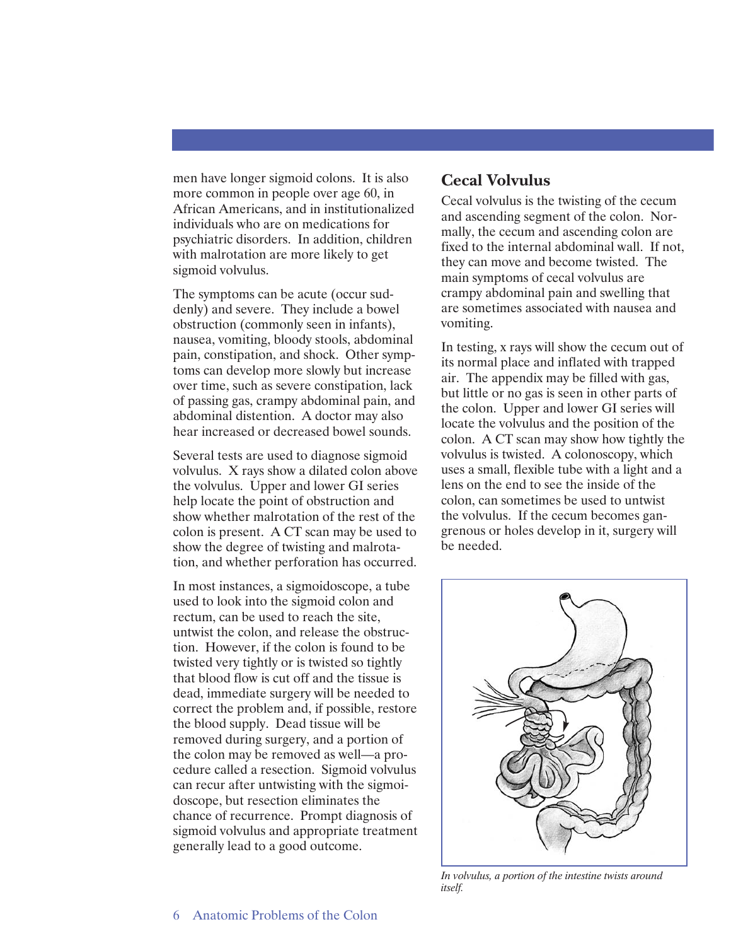men have longer sigmoid colons. It is also more common in people over age 60, in African Americans, and in institutionalized individuals who are on medications for psychiatric disorders. In addition, children with malrotation are more likely to get sigmoid volvulus.

The symptoms can be acute (occur suddenly) and severe. They include a bowel obstruction (commonly seen in infants), nausea, vomiting, bloody stools, abdominal pain, constipation, and shock. Other symptoms can develop more slowly but increase over time, such as severe constipation, lack of passing gas, crampy abdominal pain, and abdominal distention. A doctor may also hear increased or decreased bowel sounds.

Several tests are used to diagnose sigmoid volvulus. X rays show a dilated colon above the volvulus. Upper and lower GI series help locate the point of obstruction and show whether malrotation of the rest of the colon is present. A CT scan may be used to show the degree of twisting and malrotation, and whether perforation has occurred.

In most instances, a sigmoidoscope, a tube used to look into the sigmoid colon and rectum, can be used to reach the site, untwist the colon, and release the obstruction. However, if the colon is found to be twisted very tightly or is twisted so tightly that blood flow is cut off and the tissue is dead, immediate surgery will be needed to correct the problem and, if possible, restore the blood supply. Dead tissue will be removed during surgery, and a portion of the colon may be removed as well—a procedure called a resection. Sigmoid volvulus can recur after untwisting with the sigmoidoscope, but resection eliminates the chance of recurrence. Prompt diagnosis of sigmoid volvulus and appropriate treatment generally lead to a good outcome.

#### **Cecal Volvulus**

Cecal volvulus is the twisting of the cecum and ascending segment of the colon. Normally, the cecum and ascending colon are fixed to the internal abdominal wall. If not, they can move and become twisted. The main symptoms of cecal volvulus are crampy abdominal pain and swelling that are sometimes associated with nausea and vomiting.

In testing, x rays will show the cecum out of its normal place and inflated with trapped air. The appendix may be filled with gas, but little or no gas is seen in other parts of the colon. Upper and lower GI series will locate the volvulus and the position of the colon. A CT scan may show how tightly the volvulus is twisted. A colonoscopy, which uses a small, flexible tube with a light and a lens on the end to see the inside of the colon, can sometimes be used to untwist the volvulus. If the cecum becomes gangrenous or holes develop in it, surgery will be needed.



*In volvulus, a portion of the intestine twists around itself.*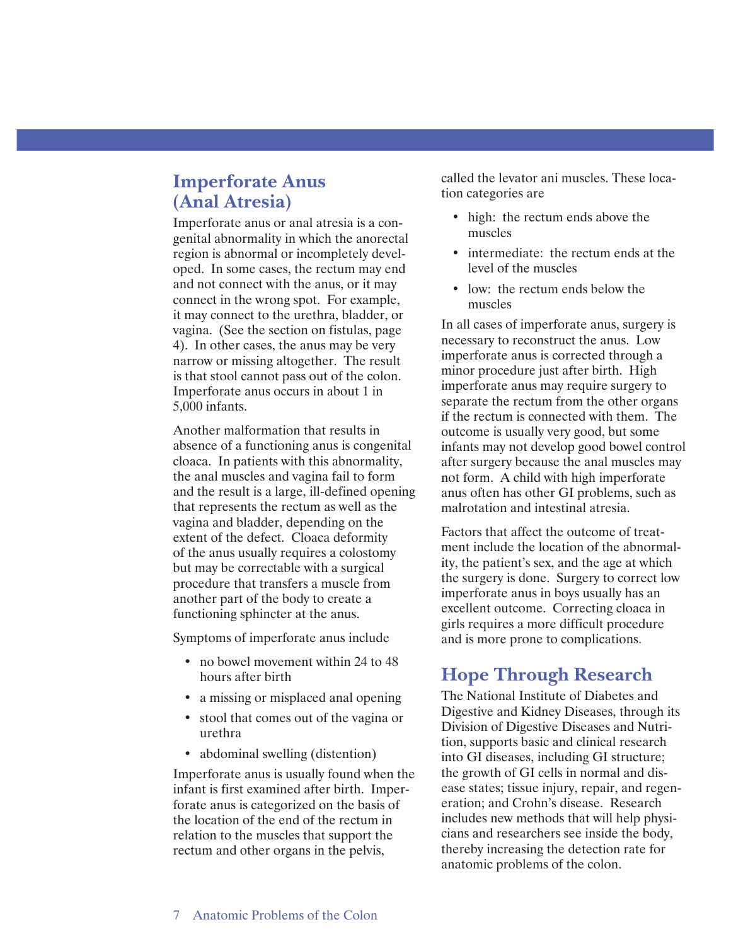## **Imperforate Anus (Anal Atresia)**

Imperforate anus or anal atresia is a congenital abnormality in which the anorectal region is abnormal or incompletely developed. In some cases, the rectum may end and not connect with the anus, or it may connect in the wrong spot. For example, it may connect to the urethra, bladder, or vagina. (See the section on fistulas, page 4). In other cases, the anus may be very narrow or missing altogether. The result is that stool cannot pass out of the colon. Imperforate anus occurs in about 1 in 5,000 infants.

Another malformation that results in absence of a functioning anus is congenital cloaca. In patients with this abnormality, the anal muscles and vagina fail to form and the result is a large, ill-defined opening that represents the rectum as well as the vagina and bladder, depending on the extent of the defect. Cloaca deformity of the anus usually requires a colostomy but may be correctable with a surgical procedure that transfers a muscle from another part of the body to create a functioning sphincter at the anus.

Symptoms of imperforate anus include

- no bowel movement within 24 to 48 hours after birth
- a missing or misplaced anal opening
- stool that comes out of the vagina or urethra
- abdominal swelling (distention)

Imperforate anus is usually found when the infant is first examined after birth. Imperforate anus is categorized on the basis of the location of the end of the rectum in relation to the muscles that support the rectum and other organs in the pelvis,

called the levator ani muscles. These location categories are

- high: the rectum ends above the muscles
- intermediate: the rectum ends at the level of the muscles
- low: the rectum ends below the muscles

In all cases of imperforate anus, surgery is necessary to reconstruct the anus. Low imperforate anus is corrected through a minor procedure just after birth. High imperforate anus may require surgery to separate the rectum from the other organs if the rectum is connected with them. The outcome is usually very good, but some infants may not develop good bowel control after surgery because the anal muscles may not form. A child with high imperforate anus often has other GI problems, such as malrotation and intestinal atresia.

Factors that affect the outcome of treatment include the location of the abnormality, the patient's sex, and the age at which the surgery is done. Surgery to correct low imperforate anus in boys usually has an excellent outcome. Correcting cloaca in girls requires a more difficult procedure and is more prone to complications.

## **Hope Through Research**

The National Institute of Diabetes and Digestive and Kidney Diseases, through its Division of Digestive Diseases and Nutrition, supports basic and clinical research into GI diseases, including GI structure; the growth of GI cells in normal and disease states; tissue injury, repair, and regeneration; and Crohn's disease. Research includes new methods that will help physicians and researchers see inside the body, thereby increasing the detection rate for anatomic problems of the colon.